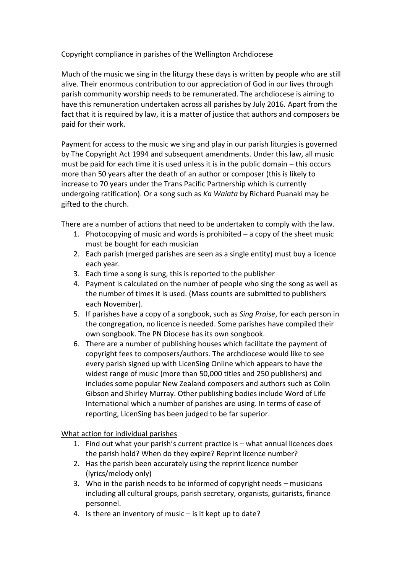## Copyright compliance in parishes of the Wellington Archdiocese

Much of the music we sing in the liturgy these days is written by people who are still alive. Their enormous contribution to our appreciation of God in our lives through parish community worship needs to be remunerated. The archdiocese is aiming to have this remuneration undertaken across all parishes by July 2016. Apart from the fact that it is required by law, it is a matter of justice that authors and composers be paid for their work.

Payment for access to the music we sing and play in our parish liturgies is governed by The Copyright Act 1994 and subsequent amendments. Under this law, all music must be paid for each time it is used unless it is in the public domain – this occurs more than 50 years after the death of an author or composer (this is likely to increase to 70 years under the Trans Pacific Partnership which is currently undergoing ratification). Or a song such as *Ka Waiata* by Richard Puanaki may be gifted to the church.

There are a number of actions that need to be undertaken to comply with the law.

- 1. Photocopying of music and words is prohibited a copy of the sheet music must be bought for each musician
- 2. Each parish (merged parishes are seen as a single entity) must buy a licence each year.
- 3. Each time a song is sung, this is reported to the publisher
- 4. Payment is calculated on the number of people who sing the song as well as the number of times it is used. (Mass counts are submitted to publishers each November).
- 5. If parishes have a copy of a songbook, such as *Sing Praise*, for each person in the congregation, no licence is needed. Some parishes have compiled their own songbook. The PN Diocese has its own songbook.
- 6. There are a number of publishing houses which facilitate the payment of copyright fees to composers/authors. The archdiocese would like to see every parish signed up with LicenSing Online which appears to have the widest range of music (more than 50,000 titles and 250 publishers) and includes some popular New Zealand composers and authors such as Colin Gibson and Shirley Murray. Other publishing bodies include Word of Life International which a number of parishes are using. In terms of ease of reporting, LicenSing has been judged to be far superior.

What action for individual parishes

- 1. Find out what your parish's current practice is what annual licences does the parish hold? When do they expire? Reprint licence number?
- 2. Has the parish been accurately using the reprint licence number (lyrics/melody only)
- 3. Who in the parish needs to be informed of copyright needs musicians including all cultural groups, parish secretary, organists, guitarists, finance personnel.
- 4. Is there an inventory of music is it kept up to date?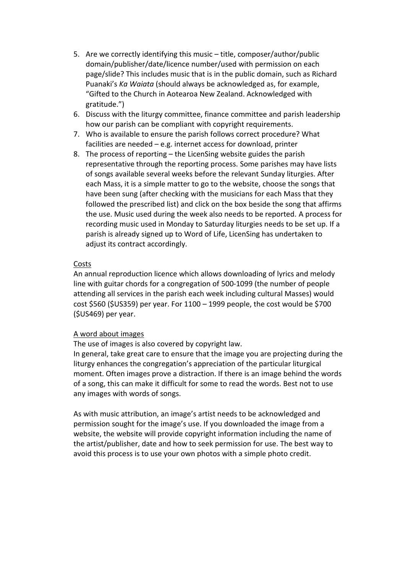- 5. Are we correctly identifying this music title, composer/author/public domain/publisher/date/licence number/used with permission on each page/slide? This includes music that is in the public domain, such as Richard Puanaki's *Ka Waiata* (should always be acknowledged as, for example, "Gifted to the Church in Aotearoa New Zealand. Acknowledged with gratitude.")
- 6. Discuss with the liturgy committee, finance committee and parish leadership how our parish can be compliant with copyright requirements.
- 7. Who is available to ensure the parish follows correct procedure? What facilities are needed – e.g. internet access for download, printer
- 8. The process of reporting the LicenSing website guides the parish representative through the reporting process. Some parishes may have lists of songs available several weeks before the relevant Sunday liturgies. After each Mass, it is a simple matter to go to the website, choose the songs that have been sung (after checking with the musicians for each Mass that they followed the prescribed list) and click on the box beside the song that affirms the use. Music used during the week also needs to be reported. A process for recording music used in Monday to Saturday liturgies needs to be set up. If a parish is already signed up to Word of Life, LicenSing has undertaken to adjust its contract accordingly.

## Costs

An annual reproduction licence which allows downloading of lyrics and melody line with guitar chords for a congregation of 500-1099 (the number of people attending all services in the parish each week including cultural Masses) would cost \$560 (\$US359) per year. For 1100 – 1999 people, the cost would be \$700 (\$US469) per year.

## A word about images

The use of images is also covered by copyright law.

In general, take great care to ensure that the image you are projecting during the liturgy enhances the congregation's appreciation of the particular liturgical moment. Often images prove a distraction. If there is an image behind the words of a song, this can make it difficult for some to read the words. Best not to use any images with words of songs.

As with music attribution, an image's artist needs to be acknowledged and permission sought for the image's use. If you downloaded the image from a website, the website will provide copyright information including the name of the artist/publisher, date and how to seek permission for use. The best way to avoid this process is to use your own photos with a simple photo credit.